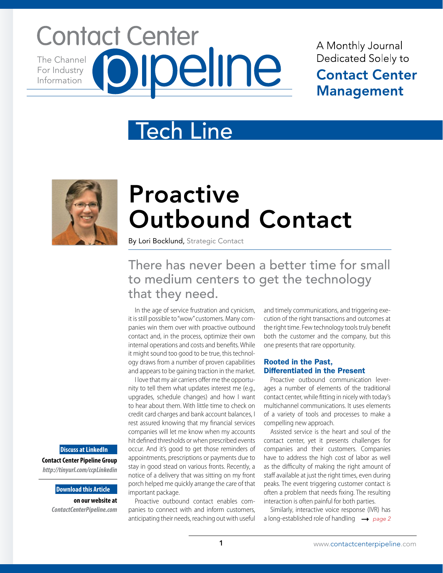## **Contact Center** pipeline The Channel For Industry Information

A Monthly Journal Dedicated Solely to **Contact Center Management** 

## Tech Line



# Proactive Outbound Contact

By Lori Bocklund, Strategic Contact

## There has never been a better time for small to medium centers to get the technology that they need.

In the age of service frustration and cynicism, it is still possible to "wow" customers. Many companies win them over with proactive outbound contact and, in the process, optimize their own internal operations and costs and benefits. While it might sound too good to be true, this technology draws from a number of proven capabilities and appears to be gaining traction in the market.

I love that my air carriers offer me the opportunity to tell them what updates interest me (e.g., upgrades, schedule changes) and how I want to hear about them. With little time to check on credit card charges and bank account balances, I rest assured knowing that my financial services companies will let me know when my accounts hit defined thresholds or when prescribed events occur. And it's good to get those reminders of appointments, prescriptions or payments due to stay in good stead on various fronts. Recently, a notice of a delivery that was sitting on my front porch helped me quickly arrange the care of that important package.

Proactive outbound contact enables companies to connect with and inform customers, anticipating their needs, reaching out with useful

and timely communications, and triggering execution of the right transactions and outcomes at the right time. Few technology tools truly benefit both the customer and the company, but this one presents that rare opportunity.

### Rooted in the Past, Differentiated in the Present

Proactive outbound communication leverages a number of elements of the traditional contact center, while fitting in nicely with today's multichannel communications. It uses elements of a variety of tools and processes to make a compelling new approach.

Assisted service is the heart and soul of the contact center, yet it presents challenges for companies and their customers. Companies have to address the high cost of labor as well as the difficulty of making the right amount of staff available at just the right times, even during peaks. The event triggering customer contact is often a problem that needs fixing. The resulting interaction is often painful for both parties.

Similarly, interactive voice response (IVR) has a long-established role of handling  $\rightarrow$  page 2

**Discuss at LinkedIn**

**Contact Center Pipeline Group**  *http://tinyurl.com/ccpLinkedin*

### **Download this Article**

**on our website at**  *ContactCenterPipeline.com*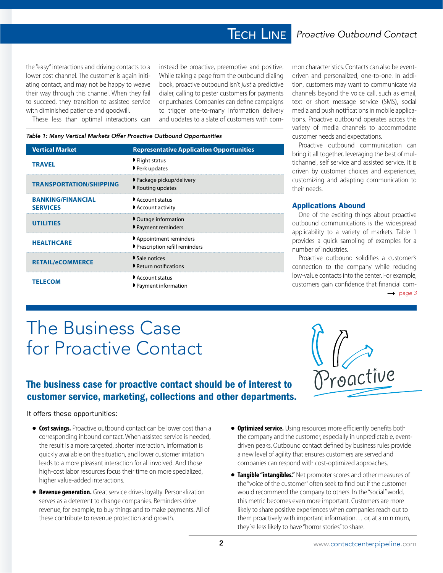## **TECH LINE**

the "easy" interactions and driving contacts to a lower cost channel. The customer is again initiating contact, and may not be happy to weave their way through this channel. When they fail to succeed, they transition to assisted service with diminished patience and goodwill.

These less than optimal interactions can

instead be proactive, preemptive and positive. While taking a page from the outbound dialing book, proactive outbound isn't *just* a predictive dialer, calling to pester customers for payments or purchases. Companies can define campaigns to trigger one-to-many information delivery and updates to a slate of customers with com-

### *Table 1: Many Vertical Markets Offer Proactive Outbound Opportunities*

| <b>Vertical Market</b>                      | <b>Representative Application Opportunities</b>        |
|---------------------------------------------|--------------------------------------------------------|
| <b>TRAVEL</b>                               | ▶ Flight status<br>Perk updates                        |
| <b>TRANSPORTATION/SHIPPING</b>              | ▶ Package pickup/delivery<br>Routing updates           |
| <b>BANKING/FINANCIAL</b><br><b>SERVICES</b> | Account status<br>Account activity                     |
| <b>UTILITIES</b>                            | • Outage information<br>▶ Payment reminders            |
| <b>HEALTHCARE</b>                           | Appointment reminders<br>Prescription refill reminders |
| <b>RETAIL/eCOMMERCE</b>                     | Sale notices<br>Return notifications                   |
| <b>TELECOM</b>                              | Account status<br>▶ Payment information                |

mon characteristics. Contacts can also be eventdriven and personalized, one-to-one. In addition, customers may want to communicate via channels beyond the voice call, such as email, text or short message service (SMS), social media and push notifications in mobile applications. Proactive outbound operates across this variety of media channels to accommodate customer needs and expectations.

Proactive outbound communication can bring it all together, leveraging the best of multichannel, self service and assisted service. It is driven by customer choices and experiences, customizing and adapting communication to their needs.

### Applications Abound

One of the exciting things about proactive outbound communications is the widespread applicability to a variety of markets. Table 1 provides a quick sampling of examples for a number of industries.

Proactive outbound solidifies a customer's connection to the company while reducing low-value contacts into the center. For example, customers gain confidence that financial com-

#### $\rightarrow$  page 3

## The Business Case for Proactive Contact

### The business case for proactive contact should be of interest to customer service, marketing, collections and other departments.

### It offers these opportunities:

- **Cost savings.** Proactive outbound contact can be lower cost than a corresponding inbound contact. When assisted service is needed, the result is a more targeted, shorter interaction. Information is quickly available on the situation, and lower customer irritation leads to a more pleasant interaction for all involved. And those high-cost labor resources focus their time on more specialized, higher value-added interactions.
- **Revenue generation.** Great service drives loyalty. Personalization serves as a deterrent to change companies. Reminders drive revenue, for example, to buy things and to make payments. All of these contribute to revenue protection and growth.
- **Optimized service.** Using resources more efficiently benefits both the company and the customer, especially in unpredictable, eventdriven peaks. Outbound contact defined by business rules provide a new level of agility that ensures customers are served and companies can respond with cost-optimized approaches.
- **Tangible "intangibles."** Net promoter scores and other measures of the "voice of the customer" often seek to find out if the customer would recommend the company to others. In the "social" world, this metric becomes even more important. Customers are more likely to share positive experiences when companies reach out to them proactively with important information… or, at a minimum, they're less likely to have "horror stories" to share.

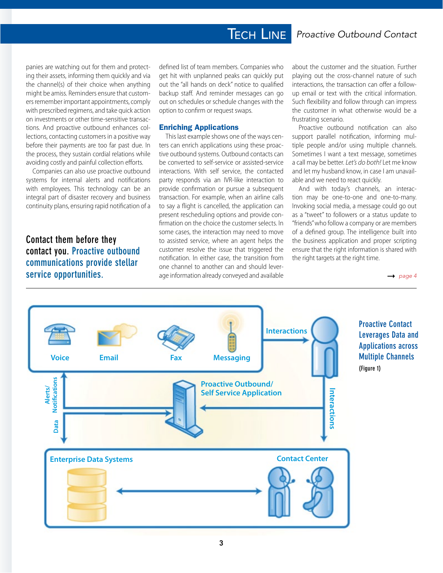## Tech Line *Proactive Outbound Contact*

panies are watching out for them and protecting their assets, informing them quickly and via the channel(s) of their choice when anything might be amiss. Reminders ensure that customers remember important appointments, comply with prescribed regimens, and take quick action on investments or other time-sensitive transactions. And proactive outbound enhances collections, contacting customers in a positive way before their payments are too far past due. In the process, they sustain cordial relations while avoiding costly and painful collection efforts.

Companies can also use proactive outbound systems for internal alerts and notifications with employees. This technology can be an integral part of disaster recovery and business continuity plans, ensuring rapid notification of a

### **Contact them before they contact you. Proactive outbound communications provide stellar service opportunities.**

defined list of team members. Companies who get hit with unplanned peaks can quickly put out the "all hands on deck" notice to qualified backup staff. And reminder messages can go out on schedules or schedule changes with the option to confirm or request swaps.

### Enriching Applications

This last example shows one of the ways centers can enrich applications using these proactive outbound systems. Outbound contacts can be converted to self-service or assisted-service interactions. With self service, the contacted party responds via an IVR-like interaction to provide confirmation or pursue a subsequent transaction. For example, when an airline calls to say a flight is cancelled, the application can present rescheduling options and provide confirmation on the choice the customer selects. In some cases, the interaction may need to move to assisted service, where an agent helps the customer resolve the issue that triggered the notification. In either case, the transition from one channel to another can and should leverage information already conveyed and available

about the customer and the situation. Further playing out the cross-channel nature of such interactions, the transaction can offer a followup email or text with the critical information. Such flexibility and follow through can impress the customer in what otherwise would be a frustrating scenario.

Proactive outbound notification can also support parallel notification, informing multiple people and/or using multiple channels. Sometimes I want a text message, sometimes a call may be better. *Let's do both!* Let me know and let my husband know, in case I am unavailable and we need to react quickly.

And with today's channels, an interaction may be one-to-one and one-to-many. Invoking social media, a message could go out as a "tweet" to followers or a status update to "friends" who follow a company or are members of a defined group. The intelligence built into the business application and proper scripting ensure that the right information is shared with the right targets at the right time.

 $\rightarrow$  page 4